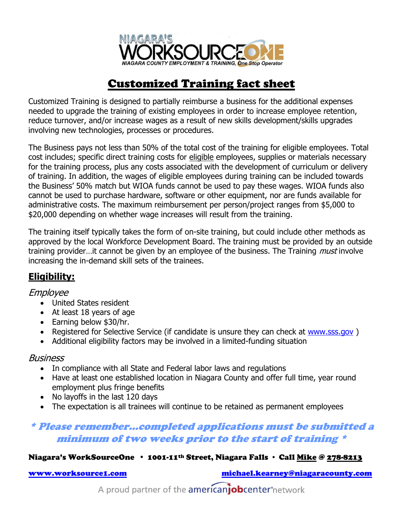

# Customized Training fact sheet

Customized Training is designed to partially reimburse a business for the additional expenses needed to upgrade the training of existing employees in order to increase employee retention, reduce turnover, and/or increase wages as a result of new skills development/skills upgrades involving new technologies, processes or procedures.

The Business pays not less than 50% of the total cost of the training for eligible employees. Total cost includes; specific direct training costs for eligible employees, supplies or materials necessary for the training process, plus any costs associated with the development of curriculum or delivery of training. In addition, the wages of eligible employees during training can be included towards the Business' 50% match but WIOA funds cannot be used to pay these wages. WIOA funds also cannot be used to purchase hardware, software or other equipment, nor are funds available for administrative costs. The maximum reimbursement per person/project ranges from \$5,000 to \$20,000 depending on whether wage increases will result from the training.

The training itself typically takes the form of on-site training, but could include other methods as approved by the local Workforce Development Board. The training must be provided by an outside training provider...it cannot be given by an employee of the business. The Training *must* involve increasing the in-demand skill sets of the trainees.

## **Eligibility:**

#### Employee

- United States resident
- At least 18 years of age
- Earning below \$30/hr.
- Registered for Selective Service (if candidate is unsure they can check at [www.sss.gov](http://www.sss.gov/))
- Additional eligibility factors may be involved in a limited-funding situation

#### **Business**

- In compliance with all State and Federal labor laws and regulations
- Have at least one established location in Niagara County and offer full time, year round employment plus fringe benefits
- No layoffs in the last 120 days
- The expectation is all trainees will continue to be retained as permanent employees

### \* Please remember…completed applications must be submitted a minimum of two weeks prior to the start of training \*

#### Niagara's WorkSourceOne · 1001-11<sup>th</sup> Street, Niagara Falls · Call Mike @ 278-8213

[www.worksource1.com](http://www.worksource1.com/) [michael.kearney@niagaracounty.com](mailto:michael.kearney@niagaracounty.com)

A proud partner of the americanjobcenter<sup>\*</sup>network